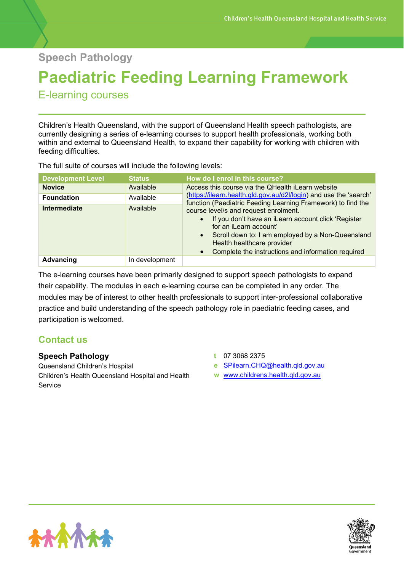**Speech Pathology**

# **Paediatric Feeding Learning Framework**

E-learning courses

Children's Health Queensland, with the support of Queensland Health speech pathologists, are currently designing a series of e-learning courses to support health professionals, working both within and external to Queensland Health, to expand their capability for working with children with feeding difficulties.

The full suite of courses will include the following levels:

| <b>Development Level</b> | <b>Status</b>  | How do I enrol in this course?                                                                                                                                                                                                                                                                         |  |
|--------------------------|----------------|--------------------------------------------------------------------------------------------------------------------------------------------------------------------------------------------------------------------------------------------------------------------------------------------------------|--|
| <b>Novice</b>            | Available      | Access this course via the QHealth iLearn website<br>(https://ilearn.health.qld.gov.au/d2l/login) and use the 'search'<br>function (Paediatric Feeding Learning Framework) to find the                                                                                                                 |  |
| <b>Foundation</b>        | Available      |                                                                                                                                                                                                                                                                                                        |  |
| Intermediate             | Available      | course level/s and request enrolment.<br>If you don't have an iLearn account click 'Register<br>$\bullet$<br>for an iLearn account'<br>Scroll down to: I am employed by a Non-Queensland<br>$\bullet$<br>Health healthcare provider<br>Complete the instructions and information required<br>$\bullet$ |  |
| Advancing                | In development |                                                                                                                                                                                                                                                                                                        |  |

The e-learning courses have been primarily designed to support speech pathologists to expand their capability. The modules in each e-learning course can be completed in any order. The modules may be of interest to other health professionals to support inter-professional collaborative practice and build understanding of the speech pathology role in paediatric feeding cases, and participation is welcomed.

## **Contact us**

### **Speech Pathology**

Queensland Children's Hospital Children's Health Queensland Hospital and Health **Service** 

- **t** 07 3068 2375
- **e** [SPilearn.CHQ@health.qld.gov.au](mailto:SPilearn.CHQ@health.qld.gov.au)
- **w** [www.childrens.health.qld.gov.au](http://www.childrens.health.qld.gov.au/)